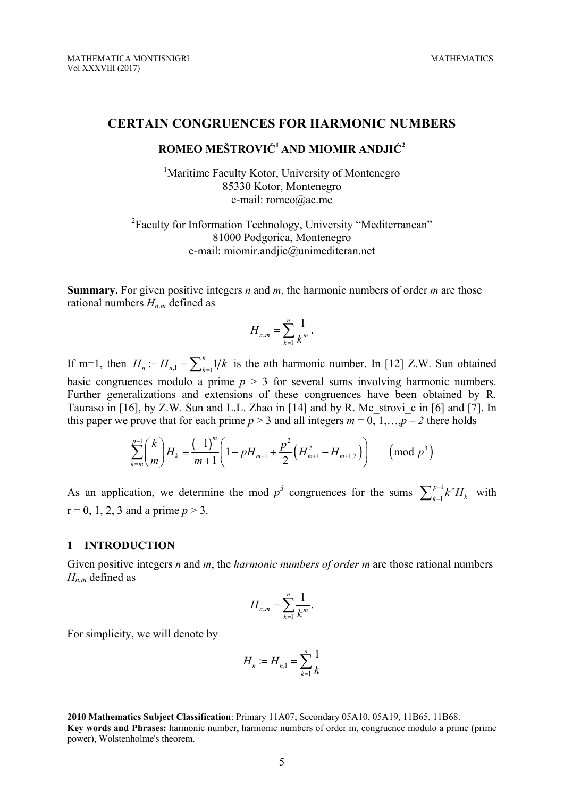## **CERTAIN CONGRUENCES FOR HARMONIC NUMBERS**

# **ROMEO METROVIĆ<sup>1</sup> AND MIOMIR ANDJIĆ<sup>2</sup>**

<sup>1</sup>Maritime Faculty Kotor, University of Montenegro 85330 Kotor, Montenegro e-mail: romeo@ac.me

<sup>2</sup> Faculty for Information Technology, University "Mediterranean" 81000 Podgorica, Montenegro e-mail: miomir.andjic@unimediteran.net

**Summary.** For given positive integers *n* and *m*, the harmonic numbers of order *m* are those rational numbers  $H_{n,m}$  defined as

$$
H_{n,m}=\sum_{k=1}^n\frac{1}{k^m}.
$$

If m=1, then  $H_n := H_{n,1} = \sum_{k=1}^{n} 1/k$  is the *n*th harmonic number. In [12] Z.W. Sun obtained basic congruences modulo a prime  $p > 3$  for several sums involving harmonic numbers. Further generalizations and extensions of these congruences have been obtained by R. Tauraso in [16], by Z.W. Sun and L.L. Zhao in [14] and by R. Me\_strovi\_c in [6] and [7]. In this paper we prove that for each prime  $p > 3$  and all integers  $m = 0, 1, \ldots, p - 2$  there holds

$$
\sum_{k=m}^{p-1} {k \choose m} H_k \equiv \frac{(-1)^m}{m+1} \left( 1 - p H_{m+1} + \frac{p^2}{2} \left( H_{m+1}^2 - H_{m+1,2} \right) \right) \qquad \left( \text{mod } p^3 \right)
$$

As an application, we determine the mod  $p^3$  congruences for the sums  $\sum_{k=1}^{p-1}$  $\sum_{k=1}^{p-1} k^r H_k$  with  $r = 0, 1, 2, 3$  and a prime  $p > 3$ .

### **1 INTRODUCTION**

Given positive integers *n* and *m*, the *harmonic numbers of order m* are those rational numbers *Hn,m* defined as

$$
H_{n,m}=\sum_{k=1}^n\frac{1}{k^m}.
$$

For simplicity, we will denote by

$$
H_n := H_{n,1} = \sum_{k=1}^n \frac{1}{k}
$$

**2010 Mathematics Subject Classification**: Primary 11A07; Secondary 05A10, 05A19, 11B65, 11B68. **Key words and Phrases:** harmonic number, harmonic numbers of order m, congruence modulo a prime (prime power), Wolstenholme's theorem.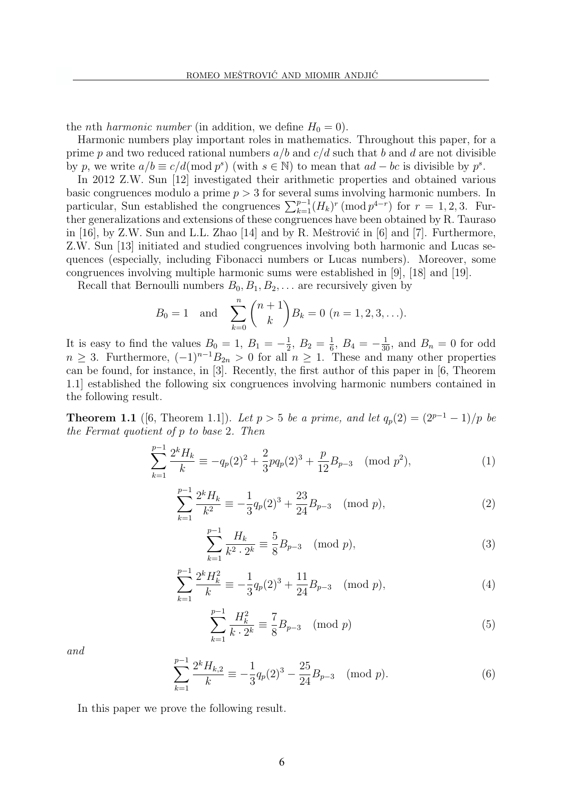the *n*th *harmonic number* (in addition, we define  $H_0 = 0$ ).

Harmonic numbers play important roles in mathematics. Throughout this paper, for a prime p and two reduced rational numbers  $a/b$  and  $c/d$  such that b and d are not divisible by p, we write  $a/b \equiv c/d \pmod{p^s}$  (with  $s \in \mathbb{N}$ ) to mean that  $ad - bc$  is divisible by  $p^s$ .

In 2012 Z.W. Sun [12] investigated their arithmetic properties and obtained various basic congruences modulo a prime  $p > 3$  for several sums involving harmonic numbers. In particular, Sun established the congruences  $\sum_{k=1}^{p-1} (H_k)^r \pmod{p^{4-r}}$  for  $r = 1, 2, 3$ . Further generalizations and extensions of these congruences have been obtained by R. Tauraso in  $[16]$ , by Z.W. Sun and L.L. Zhao  $[14]$  and by R. Meštrović in  $[6]$  and  $[7]$ . Furthermore, Z.W. Sun [13] initiated and studied congruences involving both harmonic and Lucas sequences (especially, including Fibonacci numbers or Lucas numbers). Moreover, some congruences involving multiple harmonic sums were established in [9], [18] and [19].

Recall that Bernoulli numbers  $B_0, B_1, B_2, \ldots$  are recursively given by

$$
B_0 = 1
$$
 and  $\sum_{k=0}^{n} {n+1 \choose k} B_k = 0 \ (n = 1, 2, 3, \ldots).$ 

It is easy to find the values  $B_0 = 1, B_1 = -\frac{1}{2}, B_2 = \frac{1}{6}, B_4 = -\frac{1}{30}$ , and  $B_n = 0$  for odd  $n \geq 3$ . Furthermore,  $(-1)^{n-1}B_{2n} > 0$  for all  $n \geq 1$ . These and many other properties can be found, for instance, in [3]. Recently, the first author of this paper in [6, Theorem 1.1] established the following six congruences involving harmonic numbers contained in the following result.

**Theorem 1.1** ([6, Theorem 1.1]). Let  $p > 5$  be a prime, and let  $q_p(2) = (2^{p-1} - 1)/p$  be the Fermat quotient of p to base 2. Then

$$
\sum_{k=1}^{p-1} \frac{2^k H_k}{k} \equiv -q_p(2)^2 + \frac{2}{3}pq_p(2)^3 + \frac{p}{12}B_{p-3} \pmod{p^2},\tag{1}
$$

$$
\sum_{k=1}^{p-1} \frac{2^k H_k}{k^2} \equiv -\frac{1}{3} q_p(2)^3 + \frac{23}{24} B_{p-3} \pmod{p},\tag{2}
$$

$$
\sum_{k=1}^{p-1} \frac{H_k}{k^2 \cdot 2^k} \equiv \frac{5}{8} B_{p-3} \pmod{p},\tag{3}
$$

$$
\sum_{k=1}^{p-1} \frac{2^k H_k^2}{k} \equiv -\frac{1}{3} q_p(2)^3 + \frac{11}{24} B_{p-3} \pmod{p},\tag{4}
$$

$$
\sum_{k=1}^{p-1} \frac{H_k^2}{k \cdot 2^k} \equiv \frac{7}{8} B_{p-3} \pmod{p}
$$
 (5)

and

$$
\sum_{k=1}^{p-1} \frac{2^k H_{k,2}}{k} \equiv -\frac{1}{3} q_p (2)^3 - \frac{25}{24} B_{p-3} \pmod{p}.
$$
 (6)

In this paper we prove the following result.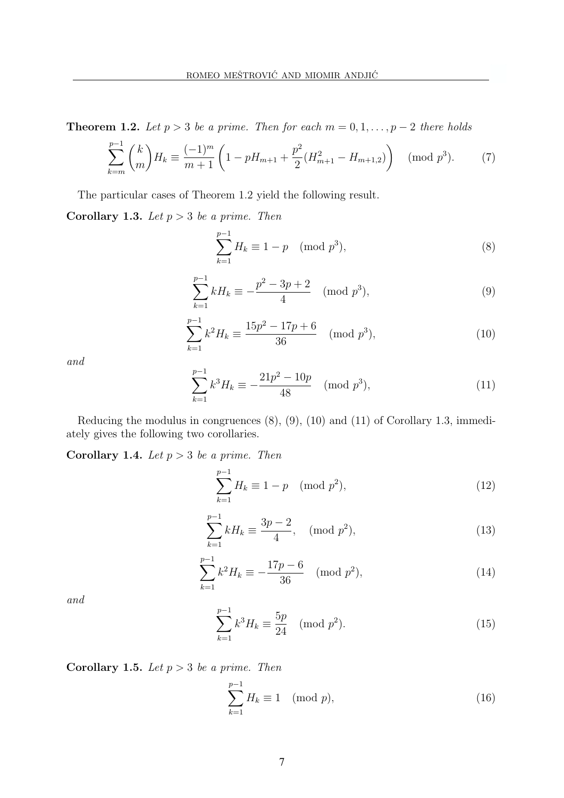**Theorem 1.2.** Let  $p > 3$  be a prime. Then for each  $m = 0, 1, \ldots, p - 2$  there holds

$$
\sum_{k=m}^{p-1} {k \choose m} H_k \equiv \frac{(-1)^m}{m+1} \left( 1 - pH_{m+1} + \frac{p^2}{2} (H_{m+1}^2 - H_{m+1,2}) \right) \pmod{p^3}.
$$
 (7)

The particular cases of Theorem 1.2 yield the following result.

Corollary 1.3. Let  $p > 3$  be a prime. Then

$$
\sum_{k=1}^{p-1} H_k \equiv 1 - p \pmod{p^3},\tag{8}
$$

$$
\sum_{k=1}^{p-1} k H_k \equiv -\frac{p^2 - 3p + 2}{4} \pmod{p^3},\tag{9}
$$

$$
\sum_{k=1}^{p-1} k^2 H_k \equiv \frac{15p^2 - 17p + 6}{36} \pmod{p^3},\tag{10}
$$

and

$$
\sum_{k=1}^{p-1} k^3 H_k \equiv -\frac{21p^2 - 10p}{48} \pmod{p^3},\tag{11}
$$

Reducing the modulus in congruences (8), (9), (10) and (11) of Corollary 1.3, immediately gives the following two corollaries.

Corollary 1.4. Let  $p > 3$  be a prime. Then

$$
\sum_{k=1}^{p-1} H_k \equiv 1 - p \pmod{p^2},\tag{12}
$$

$$
\sum_{k=1}^{p-1} k H_k \equiv \frac{3p-2}{4}, \pmod{p^2},\tag{13}
$$

$$
\sum_{k=1}^{p-1} k^2 H_k \equiv -\frac{17p - 6}{36} \pmod{p^2},\tag{14}
$$

and

$$
\sum_{k=1}^{p-1} k^3 H_k \equiv \frac{5p}{24} \pmod{p^2}.
$$
 (15)

Corollary 1.5. Let  $p > 3$  be a prime. Then

$$
\sum_{k=1}^{p-1} H_k \equiv 1 \pmod{p},\tag{16}
$$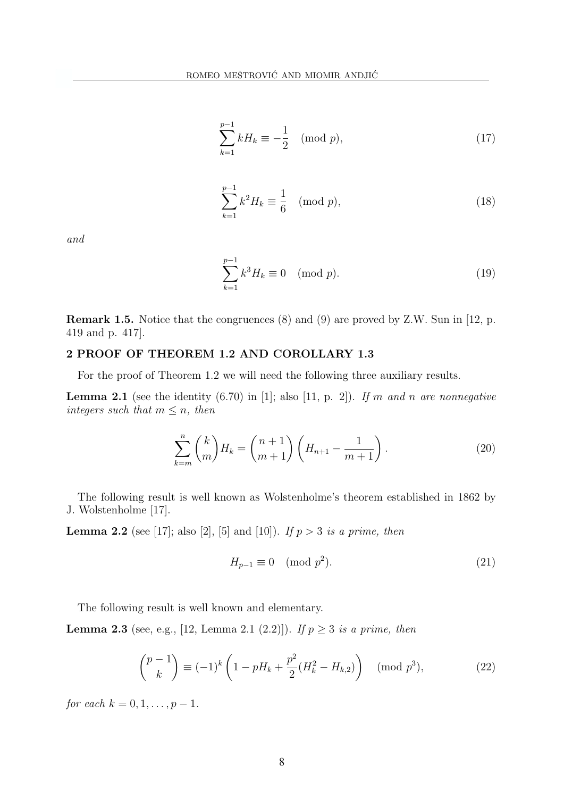$$
\sum_{k=1}^{p-1} k H_k \equiv -\frac{1}{2} \pmod{p},\tag{17}
$$

$$
\sum_{k=1}^{p-1} k^2 H_k \equiv \frac{1}{6} \pmod{p},\tag{18}
$$

and

$$
\sum_{k=1}^{p-1} k^3 H_k \equiv 0 \pmod{p}.
$$
 (19)

Remark 1.5. Notice that the congruences (8) and (9) are proved by Z.W. Sun in [12, p. 419 and p. 417].

#### 2 PROOF OF THEOREM 1.2 AND COROLLARY 1.3

For the proof of Theorem 1.2 we will need the following three auxiliary results.

**Lemma 2.1** (see the identity  $(6.70)$  in [1]; also [11, p. 2]). If m and n are nonnegative integers such that  $m \leq n$ , then

$$
\sum_{k=m}^{n} {k \choose m} H_k = {n+1 \choose m+1} \left( H_{n+1} - \frac{1}{m+1} \right).
$$
 (20)

The following result is well known as Wolstenholme's theorem established in 1862 by J. Wolstenholme [17].

**Lemma 2.2** (see [17]; also [2], [5] and [10]). If  $p > 3$  is a prime, then

$$
H_{p-1} \equiv 0 \pmod{p^2}.\tag{21}
$$

The following result is well known and elementary.

**Lemma 2.3** (see, e.g., [12, Lemma 2.1 (2.2)]). If  $p \ge 3$  is a prime, then

$$
\binom{p-1}{k} \equiv (-1)^k \left(1 - pH_k + \frac{p^2}{2}(H_k^2 - H_{k,2})\right) \pmod{p^3},\tag{22}
$$

for each  $k = 0, 1, ..., p - 1$ .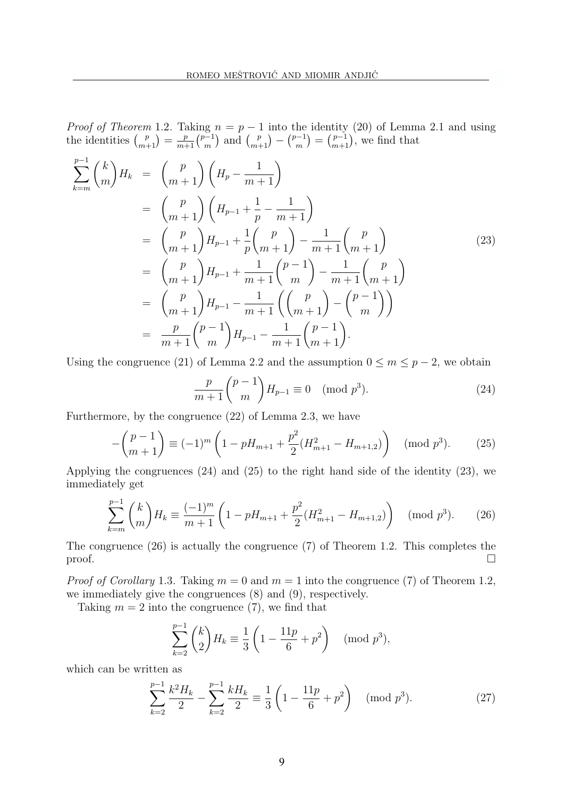*Proof of Theorem* 1.2. Taking  $n = p - 1$  into the identity (20) of Lemma 2.1 and using the identities  $\binom{p}{m+1} = \frac{p}{m+1} \binom{p-1}{m}$  and  $\binom{p}{m+1} - \binom{p-1}{m} = \binom{p-1}{m+1}$ , we find that

$$
\sum_{k=m}^{p-1} {k \choose m} H_k = {p \choose m+1} (H_p - \frac{1}{m+1})
$$
  
=  ${p \choose m+1} (H_{p-1} + \frac{1}{p} - \frac{1}{m+1})$   
=  ${p \choose m+1} H_{p-1} + \frac{1}{p} {p \choose m+1} - \frac{1}{m+1} {p \choose m+1}$   
=  ${p \choose m+1} H_{p-1} + \frac{1}{m+1} {p-1 \choose m} - \frac{1}{m+1} {p \choose m+1}$   
=  ${p \choose m+1} H_{p-1} - \frac{1}{m+1} ({p \choose m+1} - {p-1 \choose m})$   
=  $\frac{p}{m+1} {p-1 \choose m} H_{p-1} - \frac{1}{m+1} {p-1 \choose m+1}.$  (23)

Using the congruence (21) of Lemma 2.2 and the assumption  $0 \le m \le p-2$ , we obtain

$$
\frac{p}{m+1} \binom{p-1}{m} H_{p-1} \equiv 0 \pmod{p^3}.
$$
\n(24)

Furthermore, by the congruence (22) of Lemma 2.3, we have

$$
-\binom{p-1}{m+1} \equiv (-1)^m \left(1 - pH_{m+1} + \frac{p^2}{2}(H_{m+1}^2 - H_{m+1,2})\right) \pmod{p^3}.
$$
 (25)

Applying the congruences (24) and (25) to the right hand side of the identity (23), we immediately get

$$
\sum_{k=m}^{p-1} {k \choose m} H_k \equiv \frac{(-1)^m}{m+1} \left( 1 - pH_{m+1} + \frac{p^2}{2} (H_{m+1}^2 - H_{m+1,2}) \right) \pmod{p^3}.
$$
 (26)

The congruence (26) is actually the congruence (7) of Theorem 1.2. This completes the  $\Box$ 

*Proof of Corollary* 1.3. Taking  $m = 0$  and  $m = 1$  into the congruence (7) of Theorem 1.2, we immediately give the congruences (8) and (9), respectively.

Taking  $m = 2$  into the congruence (7), we find that

$$
\sum_{k=2}^{p-1} {k \choose 2} H_k \equiv \frac{1}{3} \left( 1 - \frac{11p}{6} + p^2 \right) \pmod{p^3},
$$

which can be written as

$$
\sum_{k=2}^{p-1} \frac{k^2 H_k}{2} - \sum_{k=2}^{p-1} \frac{k H_k}{2} \equiv \frac{1}{3} \left( 1 - \frac{11p}{6} + p^2 \right) \pmod{p^3}.
$$
 (27)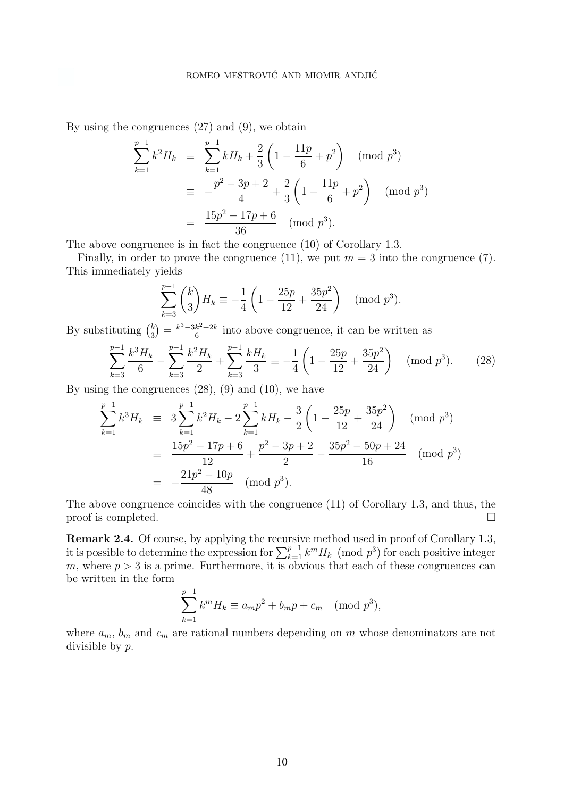By using the congruences (27) and (9), we obtain

$$
\sum_{k=1}^{p-1} k^2 H_k \equiv \sum_{k=1}^{p-1} k H_k + \frac{2}{3} \left( 1 - \frac{11p}{6} + p^2 \right) \pmod{p^3}
$$

$$
\equiv -\frac{p^2 - 3p + 2}{4} + \frac{2}{3} \left( 1 - \frac{11p}{6} + p^2 \right) \pmod{p^3}
$$

$$
= \frac{15p^2 - 17p + 6}{36} \pmod{p^3}.
$$

The above congruence is in fact the congruence (10) of Corollary 1.3.

Finally, in order to prove the congruence (11), we put  $m = 3$  into the congruence (7). This immediately yields

$$
\sum_{k=3}^{p-1} {k \choose 3} H_k \equiv -\frac{1}{4} \left( 1 - \frac{25p}{12} + \frac{35p^2}{24} \right) \pmod{p^3}.
$$

By substituting  $\binom{k}{3} = \frac{k^3 - 3k^2 + 2k}{6}$  into above congruence, it can be written as

$$
\sum_{k=3}^{p-1} \frac{k^3 H_k}{6} - \sum_{k=3}^{p-1} \frac{k^2 H_k}{2} + \sum_{k=3}^{p-1} \frac{k H_k}{3} \equiv -\frac{1}{4} \left( 1 - \frac{25p}{12} + \frac{35p^2}{24} \right) \pmod{p^3}.
$$
 (28)

By using the congruences  $(28)$ ,  $(9)$  and  $(10)$ , we have

$$
\sum_{k=1}^{p-1} k^3 H_k \equiv 3 \sum_{k=1}^{p-1} k^2 H_k - 2 \sum_{k=1}^{p-1} k H_k - \frac{3}{2} \left( 1 - \frac{25p}{12} + \frac{35p^2}{24} \right) \pmod{p^3}
$$
  

$$
\equiv \frac{15p^2 - 17p + 6}{12} + \frac{p^2 - 3p + 2}{2} - \frac{35p^2 - 50p + 24}{16} \pmod{p^3}
$$
  

$$
= -\frac{21p^2 - 10p}{48} \pmod{p^3}.
$$

The above congruence coincides with the congruence (11) of Corollary 1.3, and thus, the proof is completed.  $\Box$ 

Remark 2.4. Of course, by applying the recursive method used in proof of Corollary 1.3, it is possible to determine the expression for  $\sum_{k=1}^{p-1} k^m H_k \pmod{p^3}$  for each positive integer m, where  $p > 3$  is a prime. Furthermore, it is obvious that each of these congruences can be written in the form

$$
\sum_{k=1}^{p-1} k^{m} H_{k} \equiv a_{m} p^{2} + b_{m} p + c_{m} \pmod{p^{3}},
$$

where  $a_m$ ,  $b_m$  and  $c_m$  are rational numbers depending on m whose denominators are not divisible by p.